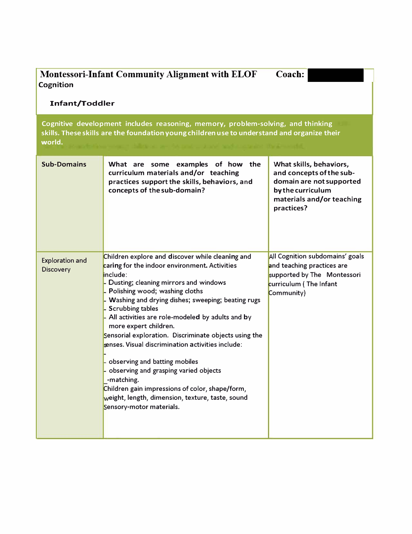| <b>Montessori-Infant Community Alignment with ELOF</b><br>Coach:<br>Cognition                                                                                                            |                                                                                                                                                                                                                                                                                                                                                                                                                                                                                                                                                                                                                                                                                                |                                                                                                                                                 |  |  |  |  |  |  |
|------------------------------------------------------------------------------------------------------------------------------------------------------------------------------------------|------------------------------------------------------------------------------------------------------------------------------------------------------------------------------------------------------------------------------------------------------------------------------------------------------------------------------------------------------------------------------------------------------------------------------------------------------------------------------------------------------------------------------------------------------------------------------------------------------------------------------------------------------------------------------------------------|-------------------------------------------------------------------------------------------------------------------------------------------------|--|--|--|--|--|--|
| <b>Infant/Toddler</b>                                                                                                                                                                    |                                                                                                                                                                                                                                                                                                                                                                                                                                                                                                                                                                                                                                                                                                |                                                                                                                                                 |  |  |  |  |  |  |
| Cognitive development includes reasoning, memory, problem-solving, and thinking<br>skills. These skills are the foundation young children use to understand and organize their<br>world. |                                                                                                                                                                                                                                                                                                                                                                                                                                                                                                                                                                                                                                                                                                |                                                                                                                                                 |  |  |  |  |  |  |
| <b>Sub-Domains</b>                                                                                                                                                                       | What are some examples of how the<br>curriculum materials and/or teaching<br>practices support the skills, behaviors, and<br>concepts of the sub-domain?                                                                                                                                                                                                                                                                                                                                                                                                                                                                                                                                       | What skills, behaviors,<br>and concepts of the sub-<br>domain are not supported<br>by the curriculum<br>materials and/or teaching<br>practices? |  |  |  |  |  |  |
| <b>Exploration and</b><br><b>Discovery</b>                                                                                                                                               | Children explore and discover while cleaning and<br>caring for the indoor environment. Activities<br>include:<br>Dusting; cleaning mirrors and windows<br>Polishing wood; washing cloths<br>Washing and drying dishes; sweeping; beating rugs<br><b>Scrubbing tables</b><br>All activities are role-modeled by adults and by<br>more expert children.<br>Sensorial exploration. Discriminate objects using the<br>senses. Visual discrimination activities include:<br>observing and batting mobiles<br>observing and grasping varied objects<br>-matching.<br>Children gain impressions of color, shape/form,<br>weight, length, dimension, texture, taste, sound<br>Sensory-motor materials. | All Cognition subdomains' goals<br>and teaching practices are<br>supported by The Montessori<br>curriculum (The Infant<br>Community)            |  |  |  |  |  |  |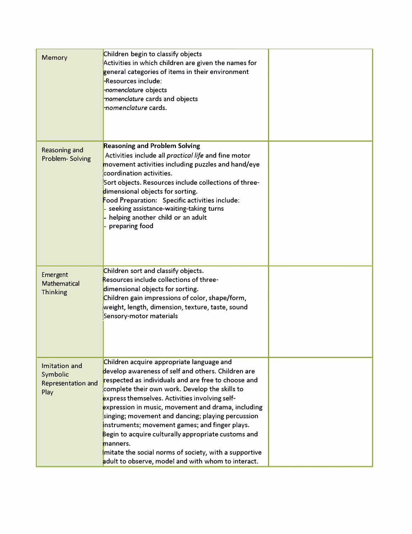| <b>Memory</b>                                                  | Children begin to classify objects<br>Activities in which children are given the names for<br>general categories of items in their environment<br>-Resources include:<br>-nomenclature objects<br>nomenclature cards and objects<br>nomenclature cards.                                                                                                                                                                                                                                                                                                                                                   |  |
|----------------------------------------------------------------|-----------------------------------------------------------------------------------------------------------------------------------------------------------------------------------------------------------------------------------------------------------------------------------------------------------------------------------------------------------------------------------------------------------------------------------------------------------------------------------------------------------------------------------------------------------------------------------------------------------|--|
| <b>Reasoning and</b><br>Problem-Solving                        | <b>Reasoning and Problem Solving</b><br>Activities include all practical life and fine motor<br>movement activities including puzzles and hand/eye<br>coordination activities.<br>Sort objects. Resources include collections of three-<br>dimensional objects for sorting.<br>Food Preparation: Specific activities include:<br>seeking assistance-waiting-taking turns<br>helping another child or an adult<br>preparing food                                                                                                                                                                           |  |
| Emergent<br><b>Mathematical</b><br><b>Thinking</b>             | Children sort and classify objects.<br>Resources include collections of three-<br>dimensional objects for sorting.<br>Children gain impressions of color, shape/form,<br>weight, length, dimension, texture, taste, sound<br>Sensory-motor materials                                                                                                                                                                                                                                                                                                                                                      |  |
| Imitation and<br>Symbolic<br><b>Representation and</b><br>Play | Children acquire appropriate language and<br>develop awareness of self and others. Children are<br>respected as individuals and are free to choose and<br>complete their own work. Develop the skills to<br>express themselves. Activities involving self-<br>expression in music, movement and drama, including<br>singing; movement and dancing; playing percussion<br>instruments; movement games; and finger plays.<br>Begin to acquire culturally appropriate customs and<br>manners.<br>mitate the social norms of society, with a supportive<br>adult to observe, model and with whom to interact. |  |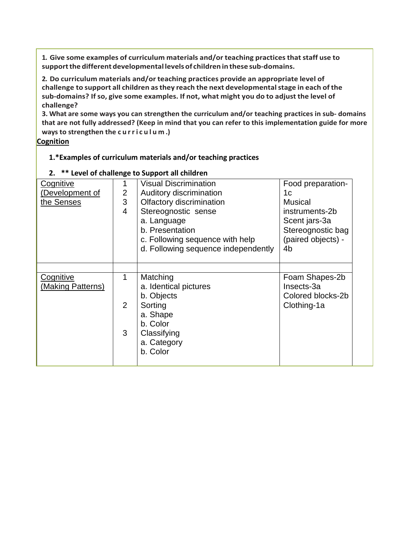**1. Give some examples of curriculum materials and/or teaching practicesthatstaff use to supportthe differentdevelopmental levelsof children in these sub-domains.**

**2. Do curriculum materials and/or teaching practices provide an appropriate level of challenge to support all children asthey reach the next developmentalstage in each of the sub-domains? If so, give some examples. If not, what might you do to adjust the level of challenge?**

**3. What are some ways you can strengthen the curriculum and/or teaching practices in sub- domains that are not fully addressed? (Keep in mind that you can refer to this implementation guide for more ways to strengthen the curriculum .)**

**Cognition**

## **1.\*Examples of curriculum materials and/or teaching practices**

| Food preparation-  |
|--------------------|
|                    |
|                    |
|                    |
| instruments-2b     |
| Scent jars-3a      |
| Stereognostic bag  |
| (paired objects) - |
|                    |
|                    |
|                    |
| Foam Shapes-2b     |
|                    |
| Colored blocks-2b  |
| Clothing-1a        |
|                    |
|                    |
|                    |
|                    |
|                    |
|                    |

## **2. \*\* Level of challenge to Support all children**